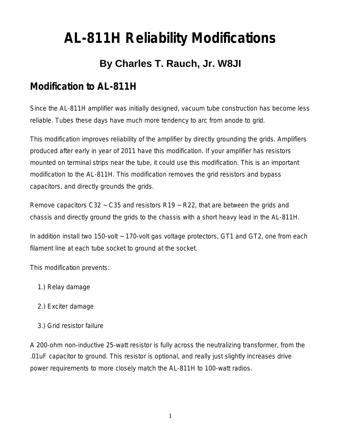# **AL-811H Reliability Modifications**

# **By Charles T. Rauch, Jr. W8JI**

### **Modification to AL-811H**

Since the AL-811H amplifier was initially designed, vacuum tube construction has become less reliable. Tubes these days have much more tendency to arc from anode to grid.

This modification improves reliability of the amplifier by directly grounding the grids. Amplifiers produced after early in year of 2011 have this modification. If your amplifier has resistors mounted on terminal strips near the tube, it could use this modification. This is an important modification to the AL-811H. This modification removes the grid resistors and bypass capacitors, and directly grounds the grids.

Remove capacitors C32  $\sim$  C35 and resistors R19  $\sim$  R22, that are between the grids and chassis and directly ground the grids to the chassis with a short heavy lead in the AL-811H.

In addition install two 150-volt ~ 170-volt gas voltage protectors, GT1 and GT2, one from each filament line at each tube socket to ground at the socket.

This modification prevents:

- 1.) Relay damage
- 2.) Exciter damage
- 3.) Grid resistor failure

A 200-ohm non-inductive 25-watt resistor is fully across the neutralizing transformer, from the .01uF capacitor to ground. This resistor is optional, and really just slightly increases drive power requirements to more closely match the AL-811H to 100-watt radios.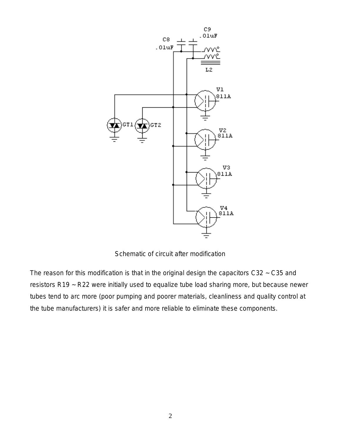

Schematic of circuit after modification

The reason for this modification is that in the original design the capacitors C32 ~ C35 and resistors R19 ~ R22 were initially used to equalize tube load sharing more, but because newer tubes tend to arc more (poor pumping and poorer materials, cleanliness and quality control at the tube manufacturers) it is safer and more reliable to eliminate these components.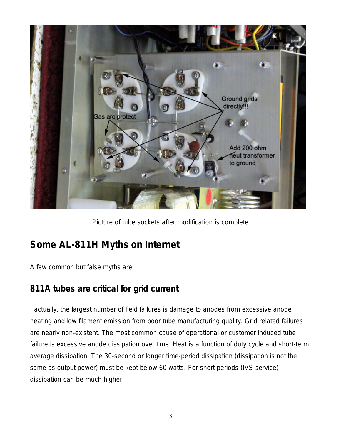

Picture of tube sockets after modification is complete

## **Some AL-811H Myths on Internet**

A few common but false myths are:

#### **811A tubes are critical for grid current**

Factually, the largest number of field failures is damage to anodes from excessive anode heating and low filament emission from poor tube manufacturing quality. Grid related failures are nearly non-existent. The most common cause of operational or customer induced tube failure is *excessive anode dissipation over time. Heat is a function of duty cycle and short-term average dissipation. The 30-second or longer time-period dissipation (dissipation is not the same as output power) must be kept below 60 watts.* For short periods (IVS service) dissipation can be much higher.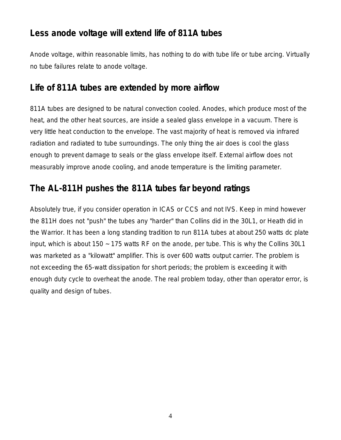#### **Less anode voltage will extend life of 811A tubes**

Anode voltage, within reasonable limits, has nothing to do with tube life or tube arcing. Virtually no tube failures relate to anode voltage.

#### **Life of 811A tubes are extended by more airflow**

811A tubes are designed to be natural convection cooled. Anodes, which produce most of the heat, and the other heat sources, are inside a sealed glass envelope in a vacuum. There is very little heat conduction to the envelope. The vast majority of heat is removed via infrared radiation and radiated to tube surroundings. The only thing the air does is cool the glass enough to prevent damage to seals or the glass envelope itself. External airflow does not measurably improve anode cooling, and anode temperature is the limiting parameter.

#### **The AL-811H pushes the 811A tubes far beyond ratings**

Absolutely true, if you consider operation in ICAS or CCS and not IVS. Keep in mind however the 811H does *not* "push" the tubes any "harder" than Collins did in the 30L1, or Heath did in the Warrior. It has been a long standing tradition to run 811A tubes at about 250 watts dc plate input, which is about 150 ~ 175 watts RF on the anode, per tube. This is why the Collins 30L1 was marketed as a "kilowatt" amplifier. This is over 600 watts output carrier. The problem is not exceeding the 65-watt dissipation for short periods; the problem is exceeding it with enough duty cycle to overheat the anode. The real problem today, other than operator error, is quality and design of tubes.